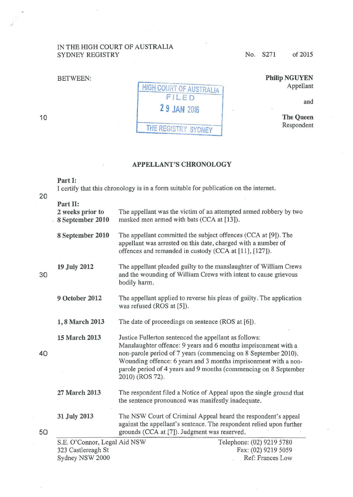## IN THE HIGH COURT OF AUSTRALIA SYDNEY REGISTRY No. S271 of 2015

## BETWEEN:



Philip NGUYEN Appellant

and

The Queen Respondent

## APPELLANT'S CHRONOLOGY

## Part 1:

I certify that this chronology is in a form suitable for publication on the internet.

| 20 |                                                                       |                                                                                                                                                                                                                                                                                                                                                     |
|----|-----------------------------------------------------------------------|-----------------------------------------------------------------------------------------------------------------------------------------------------------------------------------------------------------------------------------------------------------------------------------------------------------------------------------------------------|
|    | Part II:<br>2 weeks prior to<br>8 September 2010                      | The appellant was the victim of an attempted armed robbery by two<br>masked men armed with bats (CCA at [13]).                                                                                                                                                                                                                                      |
|    | 8 September 2010                                                      | The appellant committed the subject offences (CCA at [9]). The<br>appellant was arrested on this date, charged with a number of<br>offences and remanded in custody (CCA at [11], [127]).                                                                                                                                                           |
| 30 | 19 July 2012                                                          | The appellant pleaded guilty to the manslaughter of William Crews<br>and the wounding of William Crews with intent to cause grievous<br>bodily harm.                                                                                                                                                                                                |
|    | 9 October 2012                                                        | The appellant applied to reverse his pleas of guilty. The application<br>was refused (ROS at [5]).                                                                                                                                                                                                                                                  |
|    | 1,8 March 2013                                                        | The date of proceedings on sentence (ROS at [6]).                                                                                                                                                                                                                                                                                                   |
| 40 | 15 March 2013                                                         | Justice Fullerton sentenced the appellant as follows:<br>Manslaughter offence: 9 years and 6 months imprisonment with a<br>non-parole period of 7 years (commencing on 8 September 2010).<br>Wounding offence: 6 years and 3 months imprisonment with a non-<br>parole period of 4 years and 9 months (commencing on 8 September<br>2010) (ROS 72). |
|    | 27 March 2013                                                         | The respondent filed a Notice of Appeal upon the single ground that<br>the sentence pronounced was manifestly inadequate.                                                                                                                                                                                                                           |
| 50 | 31 July 2013                                                          | The NSW Court of Criminal Appeal heard the respondent's appeal<br>against the appellant's sentence. The respondent relied upon further<br>grounds (CCA at [7]). Judgment was reserved.                                                                                                                                                              |
|    | S.E. O'Connor, Legal Aid NSW<br>323 Castlereagh St<br>Sydney NSW 2000 | Telephone: (02) 9219 5780<br>Fax: (02) 9219 5059<br>Ref: Frances Low                                                                                                                                                                                                                                                                                |

10